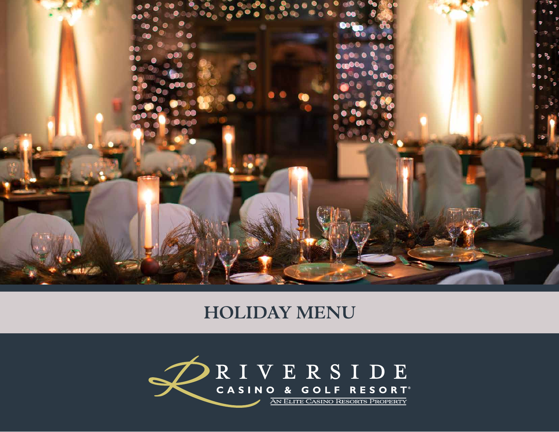

## **HOLIDAY MENU**

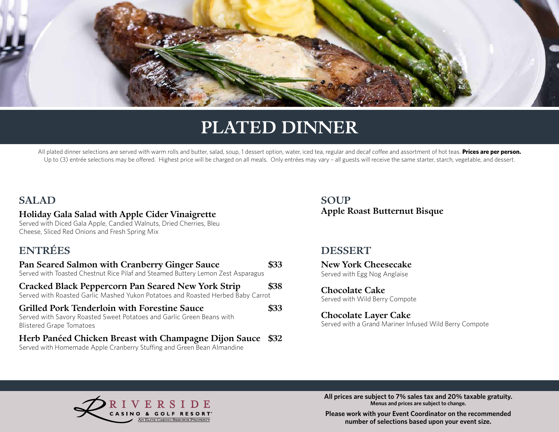

# **PLATED DINNER**

All plated dinner selections are served with warm rolls and butter, salad, soup, 1 dessert option, water, iced tea, regular and decaf coffee and assortment of hot teas. **Prices are per person.** Up to (3) entrée selections may be offered. Highest price will be charged on all meals. Only entrées may vary - all guests will receive the same starter, starch, vegetable, and dessert.

#### **SALAD**

#### **Holiday Gala Salad with Apple Cider Vinaigrette**

Served with Diced Gala Apple, Candied Walnuts, Dried Cherries, Bleu Cheese, Sliced Red Onions and Fresh Spring Mix

### **ENTRÉES**

| Pan Seared Salmon with Cranberry Ginger Sauce<br>Served with Toasted Chestnut Rice Pilaf and Steamed Buttery Lemon Zest Asparagus                               | \$33        |
|-----------------------------------------------------------------------------------------------------------------------------------------------------------------|-------------|
| <b>Cracked Black Peppercorn Pan Seared New York Strip</b><br>Served with Roasted Garlic Mashed Yukon Potatoes and Roasted Herbed Baby Carrot                    | \$38        |
| <b>Grilled Pork Tenderloin with Forestine Sauce</b><br>Served with Savory Roasted Sweet Potatoes and Garlic Green Beans with<br><b>Blistered Grape Tomatoes</b> | \$33        |
| Herb Panéed Chicken Breast with Champagne Dijon Sauce<br>Served with Homemade Apple Cranberry Stuffing and Green Bean Almandine                                 | <b>\$32</b> |

**SOUP Apple Roast Butternut Bisque**

#### **DESSERT**

**New York Cheesecake** Served with Egg Nog Anglaise

**Chocolate Cake**  Served with Wild Berry Compote

**Chocolate Layer Cake**  Served with a Grand Mariner Infused Wild Berry Compote



**All prices are subject to 7% sales tax and 20% taxable gratuity. Menus and prices are subject to change.**

**Please work with your Event Coordinator on the recommended number of selections based upon your event size.**